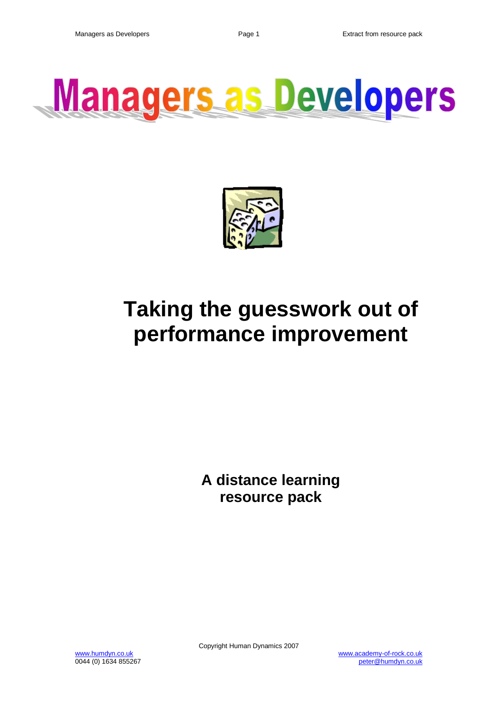



# **Taking the guesswork out of performance improvement**

**A distance learning resource pack**

0044 (0) 1634 855267

Copyright Human Dynamics 2007

www.humdyn.co.uk www.academy-of-rock.co.uk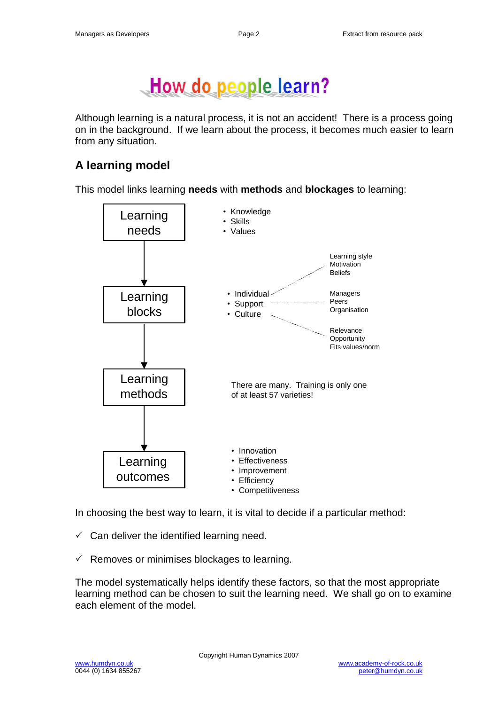

Although learning is a natural process, it is not an accident! There is a process going on in the background. If we learn about the process, it becomes much easier to learn from any situation.

# **A learning model**

This model links learning **needs** with **methods** and **blockages** to learning:



In choosing the best way to learn, it is vital to decide if a particular method:

- $\checkmark$  Can deliver the identified learning need.
- $\checkmark$  Removes or minimises blockages to learning.

The model systematically helps identify these factors, so that the most appropriate learning method can be chosen to suit the learning need. We shall go on to examine each element of the model.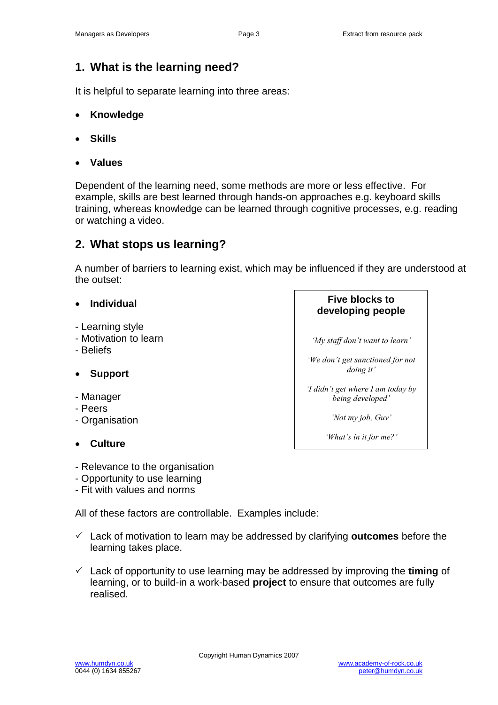**Five blocks to developing people**

*'My staff don't want to learn'*

*'We don't get sanctioned for not doing it'*

*'I didn't get where I am today by being developed'*

*'Not my job, Guv'*

*'What's in it for me?'*

## **1. What is the learning need?**

It is helpful to separate learning into three areas:

- **Knowledge**
- **Skills**
- **Values**

Dependent of the learning need, some methods are more or less effective. For example, skills are best learned through hands-on approaches e.g. keyboard skills training, whereas knowledge can be learned through cognitive processes, e.g. reading or watching a video.

## **2. What stops us learning?**

A number of barriers to learning exist, which may be influenced if they are understood at the outset:

#### **Individual**

- Learning style
- Motivation to learn
- Beliefs

#### **Support**

- Manager
- Peers
- Organisation
- **Culture**

- Relevance to the organisation

- Opportunity to use learning
- Fit with values and norms

All of these factors are controllable. Examples include:

- Lack of motivation to learn may be addressed by clarifying **outcomes** before the learning takes place.
- Lack of opportunity to use learning may be addressed by improving the **timing** of learning, or to build-in a work-based **project** to ensure that outcomes are fully realised.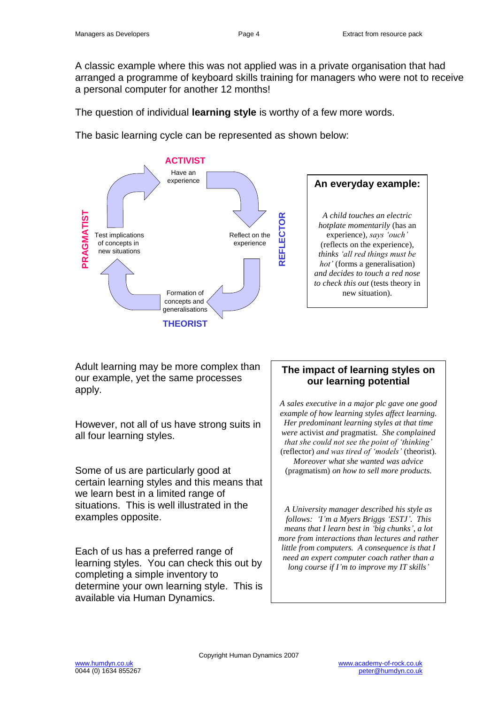A classic example where this was not applied was in a private organisation that had arranged a programme of keyboard skills training for managers who were not to receive a personal computer for another 12 months!

The question of individual **learning style** is worthy of a few more words.

The basic learning cycle can be represented as shown below:



Adult learning may be more complex than our example, yet the same processes apply.

However, not all of us have strong suits in all four learning styles.

Some of us are particularly good at certain learning styles and this means that we learn best in a limited range of situations. This is well illustrated in the examples opposite.

Each of us has a preferred range of learning styles. You can check this out by completing a simple inventory to determine your own learning style. This is available via Human Dynamics.

## **The impact of learning styles on our learning potential**

*A sales executive in a major plc gave one good example of how learning styles affect learning. Her predominant learning styles at that time were* activist *and* pragmatist*. She complained that she could not see the point of 'thinking'*  (reflector) *and was tired of 'models'* (theorist)*. Moreover what she wanted was advice*  (pragmatism) *on how to sell more products.*

*A University manager described his style as follows: 'I'm a Myers Briggs 'ESTJ'. This means that I learn best in 'big chunks', a lot more from interactions than lectures and rather little from computers. A consequence is that I need an expert computer coach rather than a long course if I'm to improve my IT skills'*